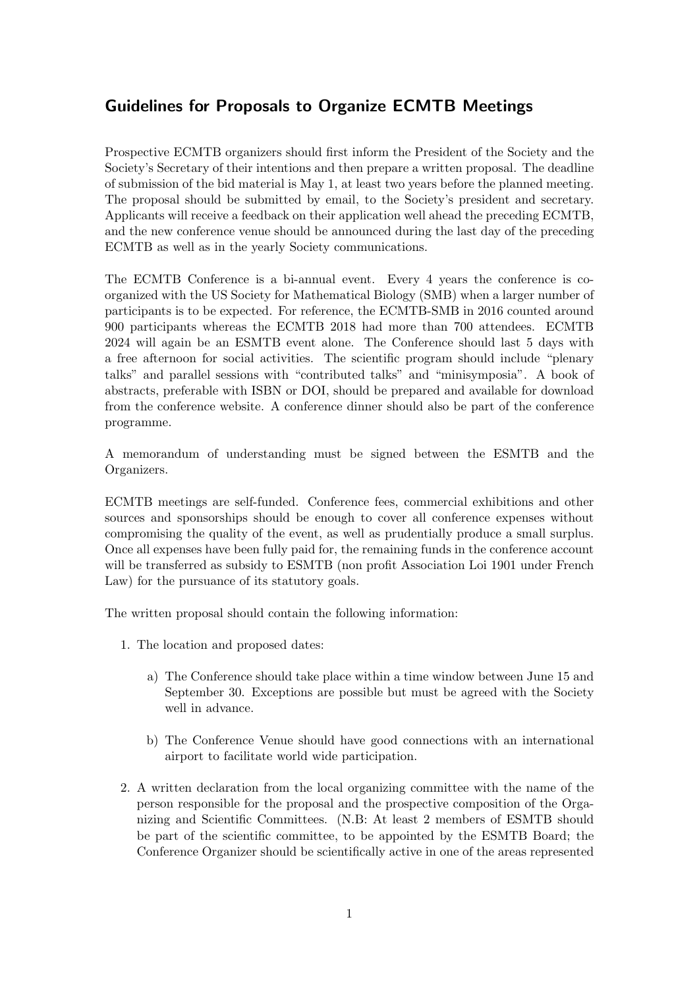## Guidelines for Proposals to Organize ECMTB Meetings

Prospective ECMTB organizers should first inform the President of the Society and the Society's Secretary of their intentions and then prepare a written proposal. The deadline of submission of the bid material is May 1, at least two years before the planned meeting. The proposal should be submitted by email, to the Society's president and secretary. Applicants will receive a feedback on their application well ahead the preceding ECMTB, and the new conference venue should be announced during the last day of the preceding ECMTB as well as in the yearly Society communications.

The ECMTB Conference is a bi-annual event. Every 4 years the conference is coorganized with the US Society for Mathematical Biology (SMB) when a larger number of participants is to be expected. For reference, the ECMTB-SMB in 2016 counted around 900 participants whereas the ECMTB 2018 had more than 700 attendees. ECMTB 2024 will again be an ESMTB event alone. The Conference should last 5 days with a free afternoon for social activities. The scientific program should include "plenary talks" and parallel sessions with "contributed talks" and "minisymposia". A book of abstracts, preferable with ISBN or DOI, should be prepared and available for download from the conference website. A conference dinner should also be part of the conference programme.

A memorandum of understanding must be signed between the ESMTB and the Organizers.

ECMTB meetings are self-funded. Conference fees, commercial exhibitions and other sources and sponsorships should be enough to cover all conference expenses without compromising the quality of the event, as well as prudentially produce a small surplus. Once all expenses have been fully paid for, the remaining funds in the conference account will be transferred as subsidy to ESMTB (non profit Association Loi 1901 under French Law) for the pursuance of its statutory goals.

The written proposal should contain the following information:

- 1. The location and proposed dates:
	- a) The Conference should take place within a time window between June 15 and September 30. Exceptions are possible but must be agreed with the Society well in advance.
	- b) The Conference Venue should have good connections with an international airport to facilitate world wide participation.
- 2. A written declaration from the local organizing committee with the name of the person responsible for the proposal and the prospective composition of the Organizing and Scientific Committees. (N.B: At least 2 members of ESMTB should be part of the scientific committee, to be appointed by the ESMTB Board; the Conference Organizer should be scientifically active in one of the areas represented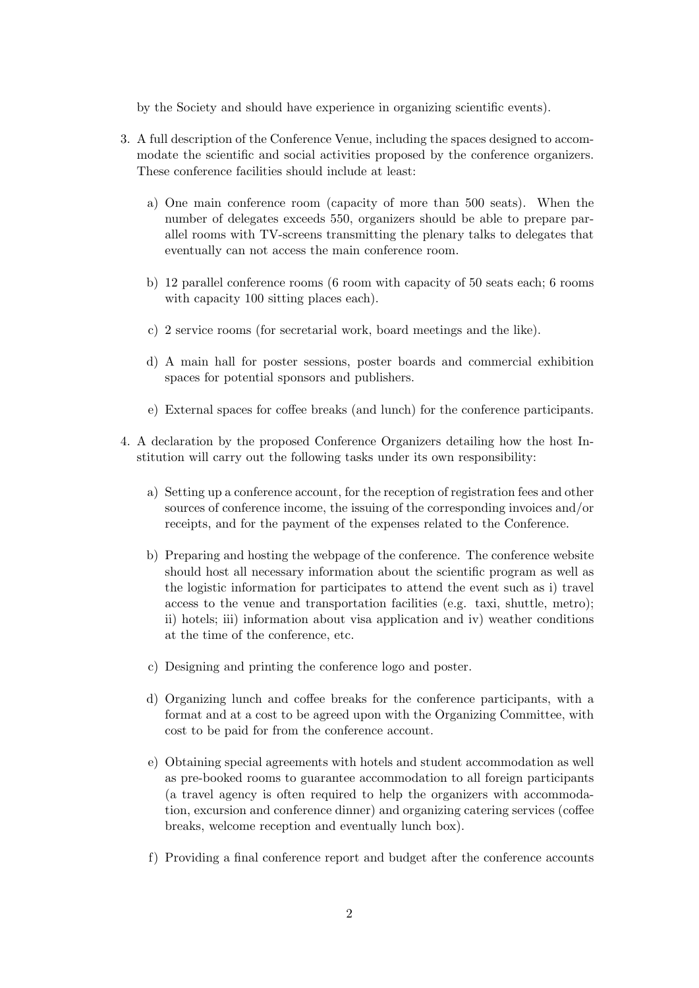by the Society and should have experience in organizing scientific events).

- 3. A full description of the Conference Venue, including the spaces designed to accommodate the scientific and social activities proposed by the conference organizers. These conference facilities should include at least:
	- a) One main conference room (capacity of more than 500 seats). When the number of delegates exceeds 550, organizers should be able to prepare parallel rooms with TV-screens transmitting the plenary talks to delegates that eventually can not access the main conference room.
	- b) 12 parallel conference rooms (6 room with capacity of 50 seats each; 6 rooms with capacity 100 sitting places each).
	- c) 2 service rooms (for secretarial work, board meetings and the like).
	- d) A main hall for poster sessions, poster boards and commercial exhibition spaces for potential sponsors and publishers.
	- e) External spaces for coffee breaks (and lunch) for the conference participants.
- 4. A declaration by the proposed Conference Organizers detailing how the host Institution will carry out the following tasks under its own responsibility:
	- a) Setting up a conference account, for the reception of registration fees and other sources of conference income, the issuing of the corresponding invoices and/or receipts, and for the payment of the expenses related to the Conference.
	- b) Preparing and hosting the webpage of the conference. The conference website should host all necessary information about the scientific program as well as the logistic information for participates to attend the event such as i) travel access to the venue and transportation facilities (e.g. taxi, shuttle, metro); ii) hotels; iii) information about visa application and iv) weather conditions at the time of the conference, etc.
	- c) Designing and printing the conference logo and poster.
	- d) Organizing lunch and coffee breaks for the conference participants, with a format and at a cost to be agreed upon with the Organizing Committee, with cost to be paid for from the conference account.
	- e) Obtaining special agreements with hotels and student accommodation as well as pre-booked rooms to guarantee accommodation to all foreign participants (a travel agency is often required to help the organizers with accommodation, excursion and conference dinner) and organizing catering services (coffee breaks, welcome reception and eventually lunch box).
	- f) Providing a final conference report and budget after the conference accounts